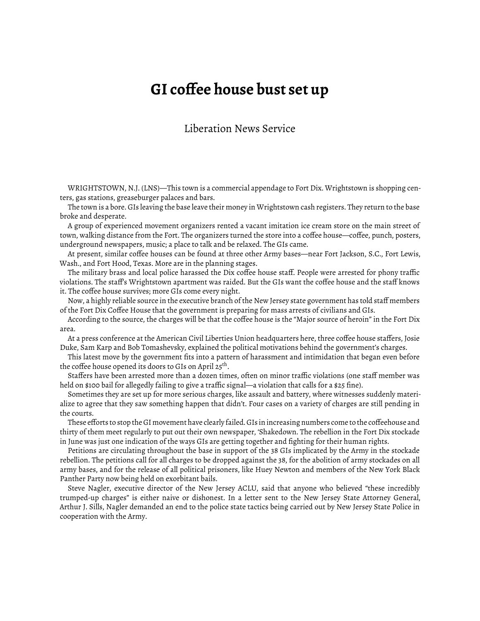## **GI coffee house bust set up**

## Liberation News Service

WRIGHTSTOWN, N.J. (LNS)—This town is a commercial appendage to Fort Dix. Wrightstown is shopping centers, gas stations, greaseburger palaces and bars.

The town is a bore. GIs leaving the base leave their money in Wrightstown cash registers. They return to the base broke and desperate.

A group of experienced movement organizers rented a vacant imitation ice cream store on the main street of town, walking distance from the Fort. The organizers turned the store into a coffee house—coffee, punch, posters, underground newspapers, music; a place to talk and be relaxed. The GIs came.

At present, similar coffee houses can be found at three other Army bases—near Fort Jackson, S.C., Fort Lewis, Wash., and Fort Hood, Texas. More are in the planning stages.

The military brass and local police harassed the Dix coffee house staff. People were arrested for phony traffic violations. The staff's Wrightstown apartment was raided. But the GIs want the coffee house and the staff knows it. The coffee house survives; more GIs come every night.

Now, a highly reliable source in the executive branch of the New Jersey state government has told staff members of the Fort Dix Coffee House that the government is preparing for mass arrests of civilians and GIs.

According to the source, the charges will be that the coffee house is the "Major source of heroin" in the Fort Dix area.

At a press conference at the American Civil Liberties Union headquarters here, three coffee house staffers, Josie Duke, Sam Karp and Bob Tomashevsky, explained the political motivations behind the government's charges.

This latest move by the government fits into a pattern of harassment and intimidation that began even before the coffee house opened its doors to GIs on April 25<sup>th</sup>.

Staffers have been arrested more than a dozen times, often on minor traffic violations (one staff member was held on \$100 bail for allegedly failing to give a traffic signal—a violation that calls for a \$25 fine).

Sometimes they are set up for more serious charges, like assault and battery, where witnesses suddenly materialize to agree that they saw something happen that didn't. Four cases on a variety of charges are still pending in the courts.

These efforts to stop the GI movement have clearly failed. GIs in increasing numbers come to the coffeehouse and thirty of them meet regularly to put out their own newspaper, 'Shakedown. The rebellion in the Fort Dix stockade in June was just one indication of the ways GIs are getting together and fighting for their human rights.

Petitions are circulating throughout the base in support of the 38 GIs implicated by the Army in the stockade rebellion. The petitions call for all charges to be dropped against the 38, for the abolition of army stockades on all army bases, and for the release of all political prisoners, like Huey Newton and members of the New York Black Panther Party now being held on exorbitant bails.

Steve Nagler, executive director of the New Jersey ACLU, said that anyone who believed "these incredibly trumped-up charges" is either naive or dishonest. In a letter sent to the New Jersey State Attorney General, Arthur J. Sills, Nagler demanded an end to the police state tactics being carried out by New Jersey State Police in cooperation with the Army.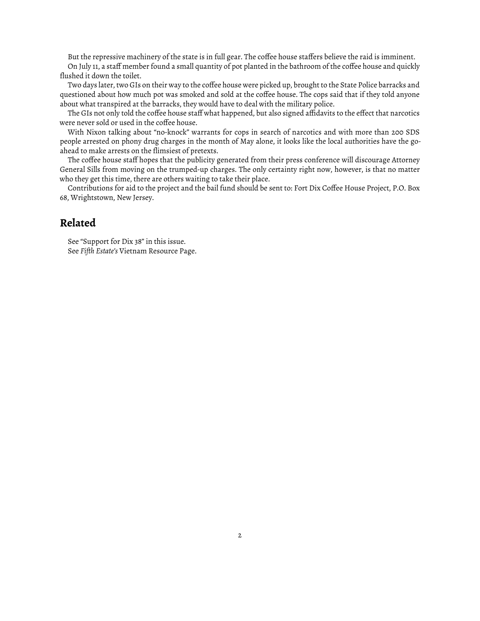But the repressive machinery of the state is in full gear. The coffee house staffers believe the raid is imminent.

On July 11, a staff member found a small quantity of pot planted in the bathroom of the coffee house and quickly flushed it down the toilet.

Two days later, two GIs on their way to the coffee house were picked up, brought to the State Police barracks and questioned about how much pot was smoked and sold at the coffee house. The cops said that if they told anyone about what transpired at the barracks, they would have to deal with the military police.

The GIs not only told the coffee house staff what happened, but also signed affidavits to the effect that narcotics were never sold or used in the coffee house.

With Nixon talking about "no-knock" warrants for cops in search of narcotics and with more than 200 SDS people arrested on phony drug charges in the month of May alone, it looks like the local authorities have the goahead to make arrests on the flimsiest of pretexts.

The coffee house staff hopes that the publicity generated from their press conference will discourage Attorney General Sills from moving on the trumped-up charges. The only certainty right now, however, is that no matter who they get this time, there are others waiting to take their place.

Contributions for aid to the project and the bail fund should be sent to: Fort Dix Coffee House Project, P.O. Box 68, Wrightstown, New Jersey.

## **Related**

See "Support for Dix 38" [in this issue.](https://www.fifthestate.org/archive/86-august-21-september-3-1969/support-for-dix-38/) See *Fiǡth Estate's* [Vietnam Resource Page.](http://www.fifthestate.org/archive/vietnam-resource-page/)